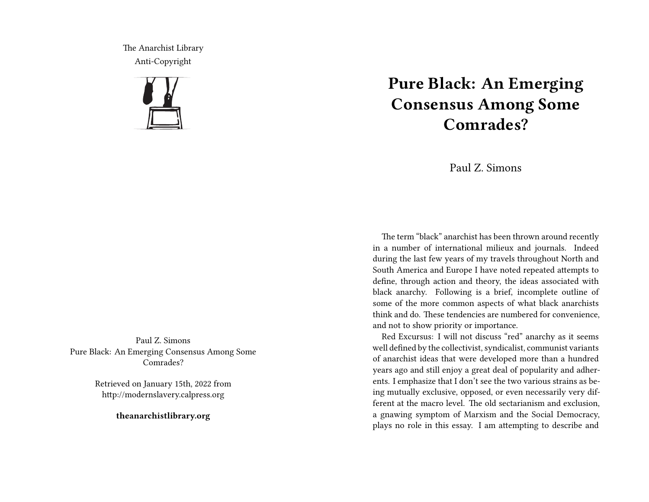The Anarchist Library Anti-Copyright



Paul Z. Simons Pure Black: An Emerging Consensus Among Some Comrades?

> Retrieved on January 15th, 2022 from http://modernslavery.calpress.org

> > **theanarchistlibrary.org**

# **Pure Black: An Emerging Consensus Among Some Comrades?**

Paul Z. Simons

The term "black" anarchist has been thrown around recently in a number of international milieux and journals. Indeed during the last few years of my travels throughout North and South America and Europe I have noted repeated attempts to define, through action and theory, the ideas associated with black anarchy. Following is a brief, incomplete outline of some of the more common aspects of what black anarchists think and do. These tendencies are numbered for convenience, and not to show priority or importance.

Red Excursus: I will not discuss "red" anarchy as it seems well defined by the collectivist, syndicalist, communist variants of anarchist ideas that were developed more than a hundred years ago and still enjoy a great deal of popularity and adherents. I emphasize that I don't see the two various strains as being mutually exclusive, opposed, or even necessarily very different at the macro level. The old sectarianism and exclusion, a gnawing symptom of Marxism and the Social Democracy, plays no role in this essay. I am attempting to describe and